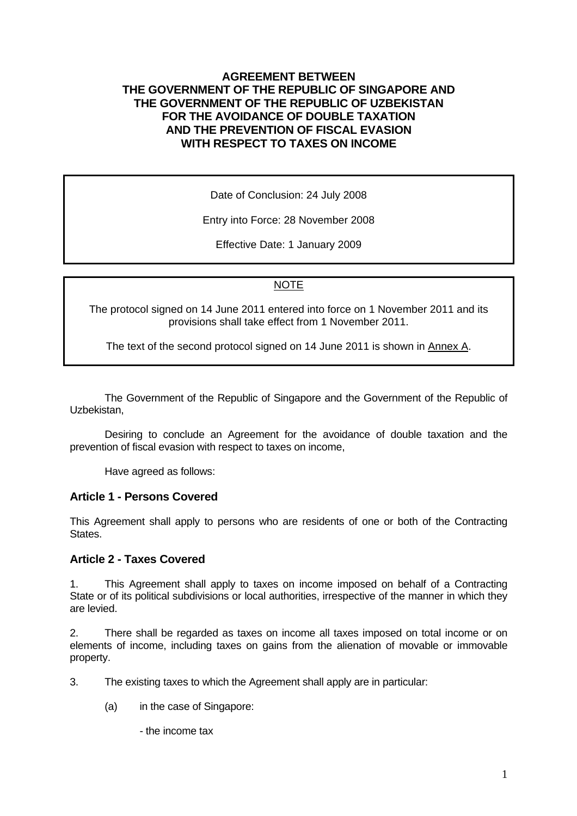## **AGREEMENT BETWEEN THE GOVERNMENT OF THE REPUBLIC OF SINGAPORE AND THE GOVERNMENT OF THE REPUBLIC OF UZBEKISTAN FOR THE AVOIDANCE OF DOUBLE TAXATION AND THE PREVENTION OF FISCAL EVASION WITH RESPECT TO TAXES ON INCOME**

Date of Conclusion: 24 July 2008

Entry into Force: 28 November 2008

Effective Date: 1 January 2009

# NOTE

The protocol signed on 14 June 2011 entered into force on 1 November 2011 and its provisions shall take effect from 1 November 2011.

The text of the second protocol signed on 14 June 2011 is shown in Annex A.

The Government of the Republic of Singapore and the Government of the Republic of Uzbekistan,

Desiring to conclude an Agreement for the avoidance of double taxation and the prevention of fiscal evasion with respect to taxes on income,

Have agreed as follows:

#### **Article 1 - Persons Covered**

This Agreement shall apply to persons who are residents of one or both of the Contracting States.

#### **Article 2 - Taxes Covered**

1. This Agreement shall apply to taxes on income imposed on behalf of a Contracting State or of its political subdivisions or local authorities, irrespective of the manner in which they are levied.

2. There shall be regarded as taxes on income all taxes imposed on total income or on elements of income, including taxes on gains from the alienation of movable or immovable property.

3. The existing taxes to which the Agreement shall apply are in particular:

(a) in the case of Singapore:

- the income tax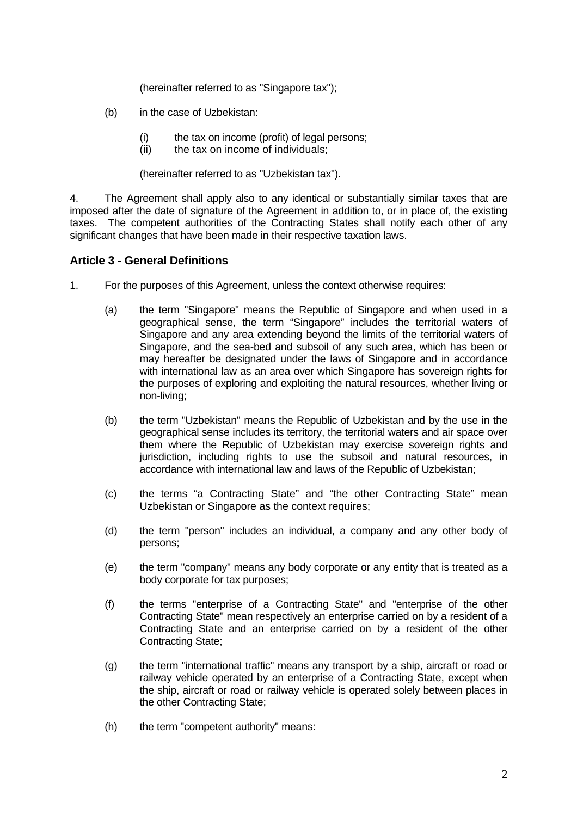(hereinafter referred to as "Singapore tax");

- (b) in the case of Uzbekistan:
	- (i) the tax on income (profit) of legal persons;
	- (ii) the tax on income of individuals;

(hereinafter referred to as "Uzbekistan tax").

4. The Agreement shall apply also to any identical or substantially similar taxes that are imposed after the date of signature of the Agreement in addition to, or in place of, the existing taxes. The competent authorities of the Contracting States shall notify each other of any significant changes that have been made in their respective taxation laws.

#### **Article 3 - General Definitions**

- 1. For the purposes of this Agreement, unless the context otherwise requires:
	- (a) the term "Singapore" means the Republic of Singapore and when used in a geographical sense, the term "Singapore" includes the territorial waters of Singapore and any area extending beyond the limits of the territorial waters of Singapore, and the sea-bed and subsoil of any such area, which has been or may hereafter be designated under the laws of Singapore and in accordance with international law as an area over which Singapore has sovereign rights for the purposes of exploring and exploiting the natural resources, whether living or non-living;
	- (b) the term "Uzbekistan" means the Republic of Uzbekistan and by the use in the geographical sense includes its territory, the territorial waters and air space over them where the Republic of Uzbekistan may exercise sovereign rights and jurisdiction, including rights to use the subsoil and natural resources, in accordance with international law and laws of the Republic of Uzbekistan;
	- (c) the terms "a Contracting State" and "the other Contracting State" mean Uzbekistan or Singapore as the context requires;
	- (d) the term "person" includes an individual, a company and any other body of persons;
	- (e) the term "company" means any body corporate or any entity that is treated as a body corporate for tax purposes;
	- (f) the terms "enterprise of a Contracting State" and "enterprise of the other Contracting State" mean respectively an enterprise carried on by a resident of a Contracting State and an enterprise carried on by a resident of the other Contracting State;
	- (g) the term "international traffic" means any transport by a ship, aircraft or road or railway vehicle operated by an enterprise of a Contracting State, except when the ship, aircraft or road or railway vehicle is operated solely between places in the other Contracting State;
	- (h) the term "competent authority" means: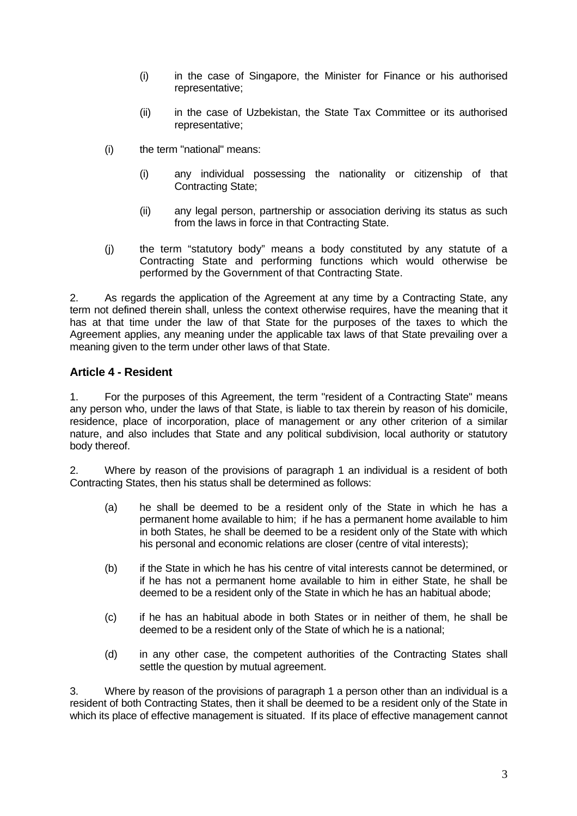- (i) in the case of Singapore, the Minister for Finance or his authorised representative;
- (ii) in the case of Uzbekistan, the State Tax Committee or its authorised representative;
- (i) the term "national" means:
	- (i) any individual possessing the nationality or citizenship of that Contracting State;
	- (ii) any legal person, partnership or association deriving its status as such from the laws in force in that Contracting State.
- (j) the term "statutory body" means a body constituted by any statute of a Contracting State and performing functions which would otherwise be performed by the Government of that Contracting State.

2. As regards the application of the Agreement at any time by a Contracting State, any term not defined therein shall, unless the context otherwise requires, have the meaning that it has at that time under the law of that State for the purposes of the taxes to which the Agreement applies, any meaning under the applicable tax laws of that State prevailing over a meaning given to the term under other laws of that State.

## **Article 4 - Resident**

1. For the purposes of this Agreement, the term "resident of a Contracting State" means any person who, under the laws of that State, is liable to tax therein by reason of his domicile, residence, place of incorporation, place of management or any other criterion of a similar nature, and also includes that State and any political subdivision, local authority or statutory body thereof.

2. Where by reason of the provisions of paragraph 1 an individual is a resident of both Contracting States, then his status shall be determined as follows:

- (a) he shall be deemed to be a resident only of the State in which he has a permanent home available to him; if he has a permanent home available to him in both States, he shall be deemed to be a resident only of the State with which his personal and economic relations are closer (centre of vital interests);
- (b) if the State in which he has his centre of vital interests cannot be determined, or if he has not a permanent home available to him in either State, he shall be deemed to be a resident only of the State in which he has an habitual abode;
- (c) if he has an habitual abode in both States or in neither of them, he shall be deemed to be a resident only of the State of which he is a national;
- (d) in any other case, the competent authorities of the Contracting States shall settle the question by mutual agreement.

3. Where by reason of the provisions of paragraph 1 a person other than an individual is a resident of both Contracting States, then it shall be deemed to be a resident only of the State in which its place of effective management is situated. If its place of effective management cannot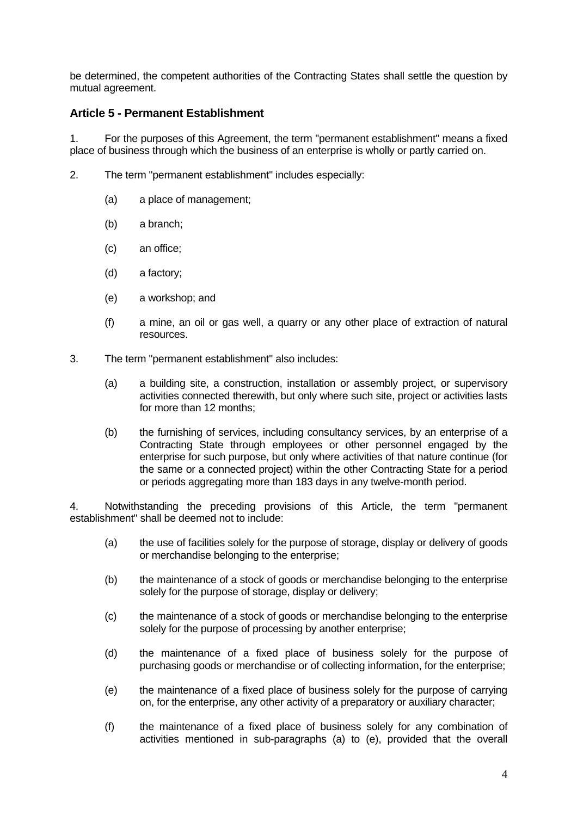be determined, the competent authorities of the Contracting States shall settle the question by mutual agreement.

#### **Article 5 - Permanent Establishment**

1. For the purposes of this Agreement, the term "permanent establishment" means a fixed place of business through which the business of an enterprise is wholly or partly carried on.

- 2. The term "permanent establishment" includes especially:
	- (a) a place of management;
	- (b) a branch;
	- (c) an office;
	- (d) a factory;
	- (e) a workshop; and
	- (f) a mine, an oil or gas well, a quarry or any other place of extraction of natural resources.
- 3. The term "permanent establishment" also includes:
	- (a) a building site, a construction, installation or assembly project, or supervisory activities connected therewith, but only where such site, project or activities lasts for more than 12 months;
	- (b) the furnishing of services, including consultancy services, by an enterprise of a Contracting State through employees or other personnel engaged by the enterprise for such purpose, but only where activities of that nature continue (for the same or a connected project) within the other Contracting State for a period or periods aggregating more than 183 days in any twelve-month period.

4. Notwithstanding the preceding provisions of this Article, the term "permanent establishment" shall be deemed not to include:

- (a) the use of facilities solely for the purpose of storage, display or delivery of goods or merchandise belonging to the enterprise;
- (b) the maintenance of a stock of goods or merchandise belonging to the enterprise solely for the purpose of storage, display or delivery;
- (c) the maintenance of a stock of goods or merchandise belonging to the enterprise solely for the purpose of processing by another enterprise;
- (d) the maintenance of a fixed place of business solely for the purpose of purchasing goods or merchandise or of collecting information, for the enterprise;
- (e) the maintenance of a fixed place of business solely for the purpose of carrying on, for the enterprise, any other activity of a preparatory or auxiliary character;
- (f) the maintenance of a fixed place of business solely for any combination of activities mentioned in sub-paragraphs (a) to (e), provided that the overall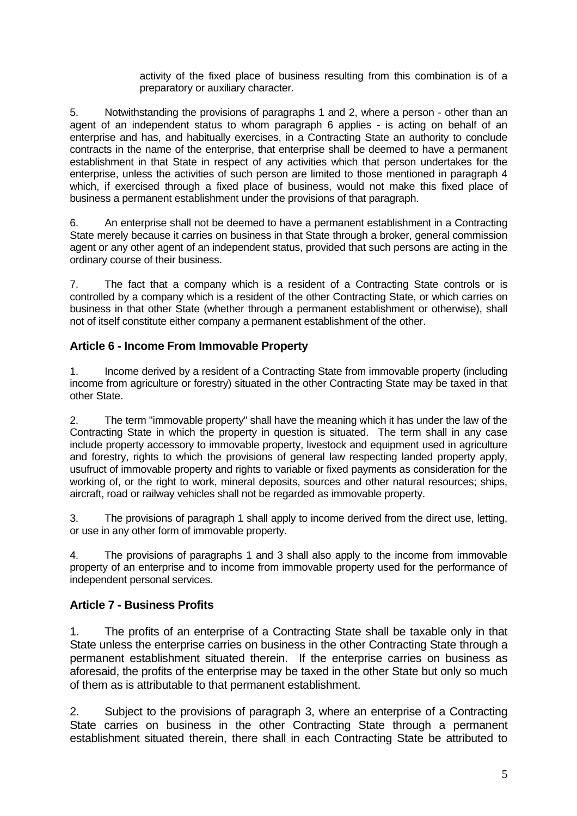activity of the fixed place of business resulting from this combination is of a preparatory or auxiliary character.

5. Notwithstanding the provisions of paragraphs 1 and 2, where a person - other than an agent of an independent status to whom paragraph 6 applies - is acting on behalf of an enterprise and has, and habitually exercises, in a Contracting State an authority to conclude contracts in the name of the enterprise, that enterprise shall be deemed to have a permanent establishment in that State in respect of any activities which that person undertakes for the enterprise, unless the activities of such person are limited to those mentioned in paragraph 4 which, if exercised through a fixed place of business, would not make this fixed place of business a permanent establishment under the provisions of that paragraph.

6. An enterprise shall not be deemed to have a permanent establishment in a Contracting State merely because it carries on business in that State through a broker, general commission agent or any other agent of an independent status, provided that such persons are acting in the ordinary course of their business.

7. The fact that a company which is a resident of a Contracting State controls or is controlled by a company which is a resident of the other Contracting State, or which carries on business in that other State (whether through a permanent establishment or otherwise), shall not of itself constitute either company a permanent establishment of the other.

# **Article 6 - Income From Immovable Property**

1. Income derived by a resident of a Contracting State from immovable property (including income from agriculture or forestry) situated in the other Contracting State may be taxed in that other State.

2. The term "immovable property" shall have the meaning which it has under the law of the Contracting State in which the property in question is situated. The term shall in any case include property accessory to immovable property, livestock and equipment used in agriculture and forestry, rights to which the provisions of general law respecting landed property apply, usufruct of immovable property and rights to variable or fixed payments as consideration for the working of, or the right to work, mineral deposits, sources and other natural resources; ships, aircraft, road or railway vehicles shall not be regarded as immovable property.

3. The provisions of paragraph 1 shall apply to income derived from the direct use, letting, or use in any other form of immovable property.

4. The provisions of paragraphs 1 and 3 shall also apply to the income from immovable property of an enterprise and to income from immovable property used for the performance of independent personal services.

## **Article 7 - Business Profits**

1. The profits of an enterprise of a Contracting State shall be taxable only in that State unless the enterprise carries on business in the other Contracting State through a permanent establishment situated therein. If the enterprise carries on business as aforesaid, the profits of the enterprise may be taxed in the other State but only so much of them as is attributable to that permanent establishment.

2. Subject to the provisions of paragraph 3, where an enterprise of a Contracting State carries on business in the other Contracting State through a permanent establishment situated therein, there shall in each Contracting State be attributed to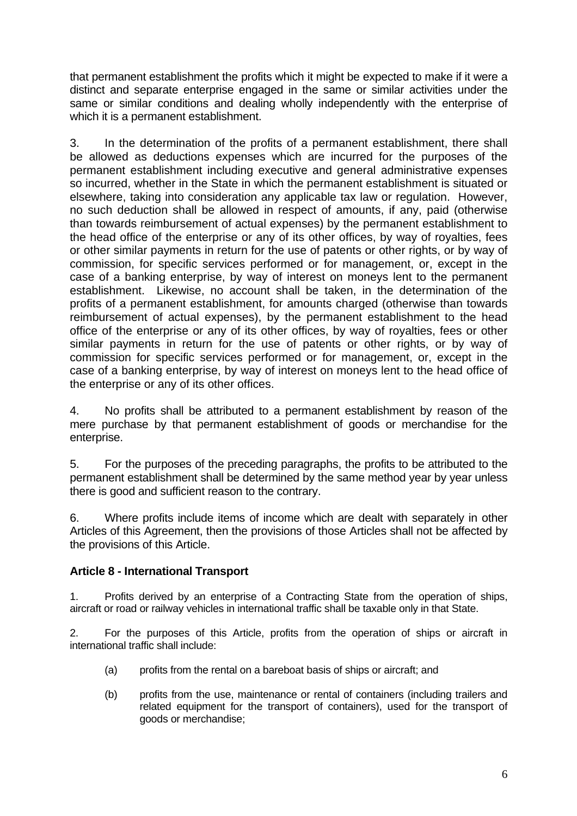that permanent establishment the profits which it might be expected to make if it were a distinct and separate enterprise engaged in the same or similar activities under the same or similar conditions and dealing wholly independently with the enterprise of which it is a permanent establishment.

3. In the determination of the profits of a permanent establishment, there shall be allowed as deductions expenses which are incurred for the purposes of the permanent establishment including executive and general administrative expenses so incurred, whether in the State in which the permanent establishment is situated or elsewhere, taking into consideration any applicable tax law or regulation. However, no such deduction shall be allowed in respect of amounts, if any, paid (otherwise than towards reimbursement of actual expenses) by the permanent establishment to the head office of the enterprise or any of its other offices, by way of royalties, fees or other similar payments in return for the use of patents or other rights, or by way of commission, for specific services performed or for management, or, except in the case of a banking enterprise, by way of interest on moneys lent to the permanent establishment. Likewise, no account shall be taken, in the determination of the profits of a permanent establishment, for amounts charged (otherwise than towards reimbursement of actual expenses), by the permanent establishment to the head office of the enterprise or any of its other offices, by way of royalties, fees or other similar payments in return for the use of patents or other rights, or by way of commission for specific services performed or for management, or, except in the case of a banking enterprise, by way of interest on moneys lent to the head office of the enterprise or any of its other offices.

4. No profits shall be attributed to a permanent establishment by reason of the mere purchase by that permanent establishment of goods or merchandise for the enterprise.

5. For the purposes of the preceding paragraphs, the profits to be attributed to the permanent establishment shall be determined by the same method year by year unless there is good and sufficient reason to the contrary.

6. Where profits include items of income which are dealt with separately in other Articles of this Agreement, then the provisions of those Articles shall not be affected by the provisions of this Article.

# **Article 8 - International Transport**

1. Profits derived by an enterprise of a Contracting State from the operation of ships, aircraft or road or railway vehicles in international traffic shall be taxable only in that State.

2. For the purposes of this Article, profits from the operation of ships or aircraft in international traffic shall include:

- (a) profits from the rental on a bareboat basis of ships or aircraft; and
- (b) profits from the use, maintenance or rental of containers (including trailers and related equipment for the transport of containers), used for the transport of goods or merchandise;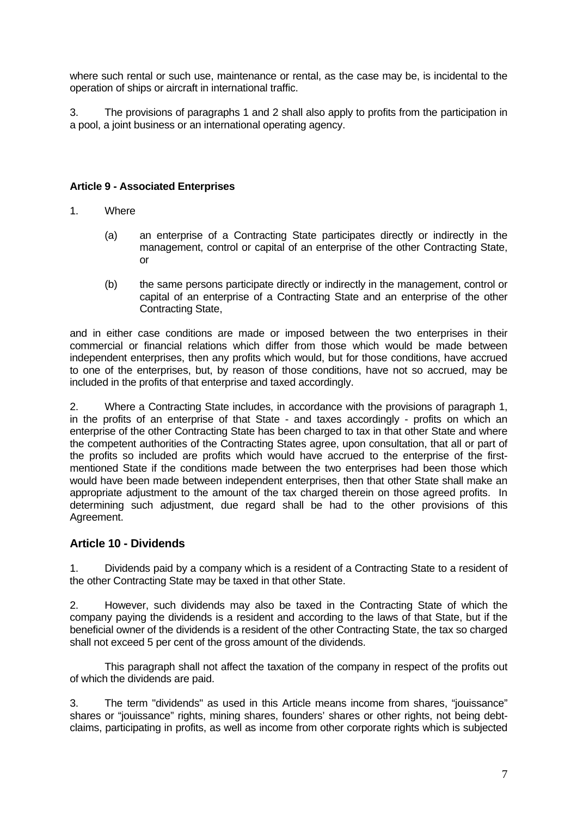where such rental or such use, maintenance or rental, as the case may be, is incidental to the operation of ships or aircraft in international traffic.

3. The provisions of paragraphs 1 and 2 shall also apply to profits from the participation in a pool, a joint business or an international operating agency.

#### **Article 9 - Associated Enterprises**

- 1. Where
	- (a) an enterprise of a Contracting State participates directly or indirectly in the management, control or capital of an enterprise of the other Contracting State, or
	- (b) the same persons participate directly or indirectly in the management, control or capital of an enterprise of a Contracting State and an enterprise of the other Contracting State,

and in either case conditions are made or imposed between the two enterprises in their commercial or financial relations which differ from those which would be made between independent enterprises, then any profits which would, but for those conditions, have accrued to one of the enterprises, but, by reason of those conditions, have not so accrued, may be included in the profits of that enterprise and taxed accordingly.

2. Where a Contracting State includes, in accordance with the provisions of paragraph 1, in the profits of an enterprise of that State - and taxes accordingly - profits on which an enterprise of the other Contracting State has been charged to tax in that other State and where the competent authorities of the Contracting States agree, upon consultation, that all or part of the profits so included are profits which would have accrued to the enterprise of the firstmentioned State if the conditions made between the two enterprises had been those which would have been made between independent enterprises, then that other State shall make an appropriate adjustment to the amount of the tax charged therein on those agreed profits. In determining such adjustment, due regard shall be had to the other provisions of this Agreement.

## **Article 10 - Dividends**

1. Dividends paid by a company which is a resident of a Contracting State to a resident of the other Contracting State may be taxed in that other State.

2. However, such dividends may also be taxed in the Contracting State of which the company paying the dividends is a resident and according to the laws of that State, but if the beneficial owner of the dividends is a resident of the other Contracting State, the tax so charged shall not exceed 5 per cent of the gross amount of the dividends.

 This paragraph shall not affect the taxation of the company in respect of the profits out of which the dividends are paid.

3. The term "dividends" as used in this Article means income from shares, "jouissance" shares or "jouissance" rights, mining shares, founders' shares or other rights, not being debtclaims, participating in profits, as well as income from other corporate rights which is subjected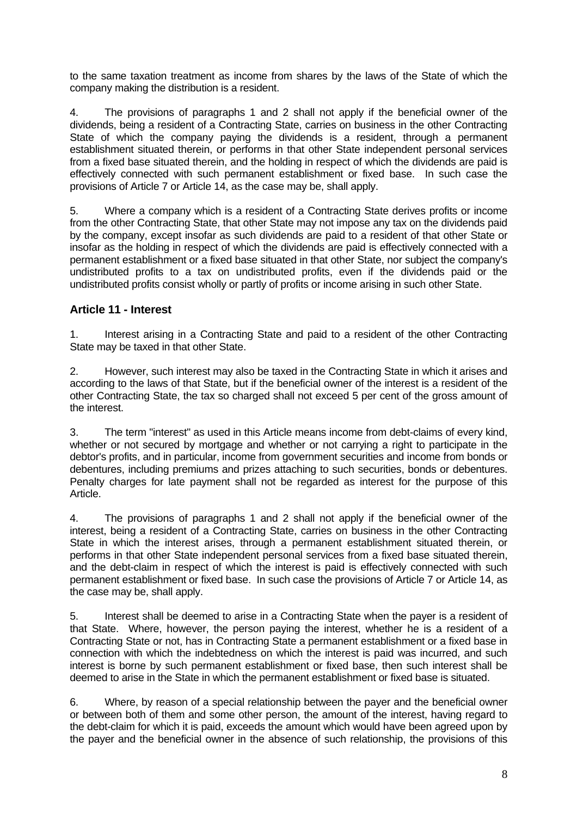to the same taxation treatment as income from shares by the laws of the State of which the company making the distribution is a resident.

4. The provisions of paragraphs 1 and 2 shall not apply if the beneficial owner of the dividends, being a resident of a Contracting State, carries on business in the other Contracting State of which the company paying the dividends is a resident, through a permanent establishment situated therein, or performs in that other State independent personal services from a fixed base situated therein, and the holding in respect of which the dividends are paid is effectively connected with such permanent establishment or fixed base. In such case the provisions of Article 7 or Article 14, as the case may be, shall apply.

5. Where a company which is a resident of a Contracting State derives profits or income from the other Contracting State, that other State may not impose any tax on the dividends paid by the company, except insofar as such dividends are paid to a resident of that other State or insofar as the holding in respect of which the dividends are paid is effectively connected with a permanent establishment or a fixed base situated in that other State, nor subject the company's undistributed profits to a tax on undistributed profits, even if the dividends paid or the undistributed profits consist wholly or partly of profits or income arising in such other State.

# **Article 11 - Interest**

1. Interest arising in a Contracting State and paid to a resident of the other Contracting State may be taxed in that other State.

2. However, such interest may also be taxed in the Contracting State in which it arises and according to the laws of that State, but if the beneficial owner of the interest is a resident of the other Contracting State, the tax so charged shall not exceed 5 per cent of the gross amount of the interest.

3. The term "interest" as used in this Article means income from debt-claims of every kind, whether or not secured by mortgage and whether or not carrying a right to participate in the debtor's profits, and in particular, income from government securities and income from bonds or debentures, including premiums and prizes attaching to such securities, bonds or debentures. Penalty charges for late payment shall not be regarded as interest for the purpose of this Article.

4. The provisions of paragraphs 1 and 2 shall not apply if the beneficial owner of the interest, being a resident of a Contracting State, carries on business in the other Contracting State in which the interest arises, through a permanent establishment situated therein, or performs in that other State independent personal services from a fixed base situated therein, and the debt-claim in respect of which the interest is paid is effectively connected with such permanent establishment or fixed base. In such case the provisions of Article 7 or Article 14, as the case may be, shall apply.

5. Interest shall be deemed to arise in a Contracting State when the payer is a resident of that State. Where, however, the person paying the interest, whether he is a resident of a Contracting State or not, has in Contracting State a permanent establishment or a fixed base in connection with which the indebtedness on which the interest is paid was incurred, and such interest is borne by such permanent establishment or fixed base, then such interest shall be deemed to arise in the State in which the permanent establishment or fixed base is situated.

6. Where, by reason of a special relationship between the payer and the beneficial owner or between both of them and some other person, the amount of the interest, having regard to the debt-claim for which it is paid, exceeds the amount which would have been agreed upon by the payer and the beneficial owner in the absence of such relationship, the provisions of this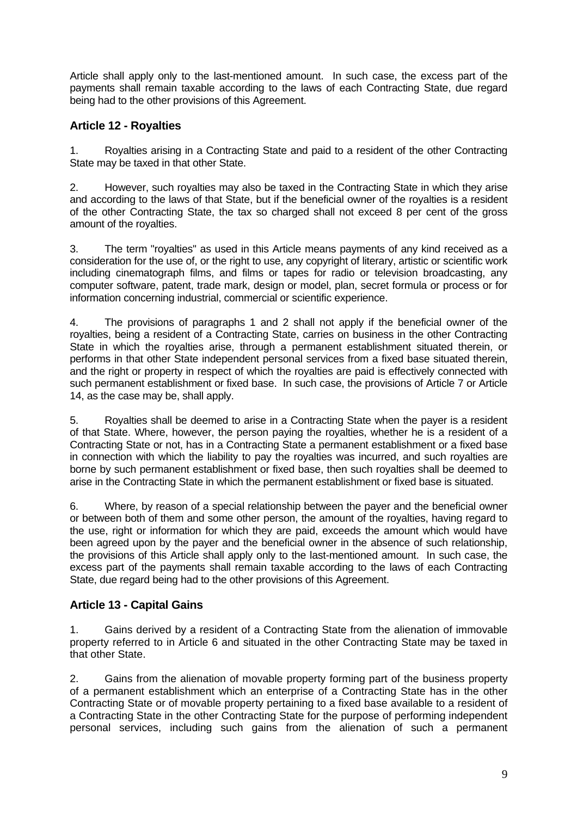Article shall apply only to the last-mentioned amount. In such case, the excess part of the payments shall remain taxable according to the laws of each Contracting State, due regard being had to the other provisions of this Agreement.

# **Article 12 - Royalties**

1. Royalties arising in a Contracting State and paid to a resident of the other Contracting State may be taxed in that other State.

2. However, such royalties may also be taxed in the Contracting State in which they arise and according to the laws of that State, but if the beneficial owner of the royalties is a resident of the other Contracting State, the tax so charged shall not exceed 8 per cent of the gross amount of the royalties.

3. The term "royalties" as used in this Article means payments of any kind received as a consideration for the use of, or the right to use, any copyright of literary, artistic or scientific work including cinematograph films, and films or tapes for radio or television broadcasting, any computer software, patent, trade mark, design or model, plan, secret formula or process or for information concerning industrial, commercial or scientific experience.

4. The provisions of paragraphs 1 and 2 shall not apply if the beneficial owner of the royalties, being a resident of a Contracting State, carries on business in the other Contracting State in which the royalties arise, through a permanent establishment situated therein, or performs in that other State independent personal services from a fixed base situated therein, and the right or property in respect of which the royalties are paid is effectively connected with such permanent establishment or fixed base. In such case, the provisions of Article 7 or Article 14, as the case may be, shall apply.

5. Royalties shall be deemed to arise in a Contracting State when the payer is a resident of that State. Where, however, the person paying the royalties, whether he is a resident of a Contracting State or not, has in a Contracting State a permanent establishment or a fixed base in connection with which the liability to pay the royalties was incurred, and such royalties are borne by such permanent establishment or fixed base, then such royalties shall be deemed to arise in the Contracting State in which the permanent establishment or fixed base is situated.

6. Where, by reason of a special relationship between the payer and the beneficial owner or between both of them and some other person, the amount of the royalties, having regard to the use, right or information for which they are paid, exceeds the amount which would have been agreed upon by the payer and the beneficial owner in the absence of such relationship, the provisions of this Article shall apply only to the last-mentioned amount. In such case, the excess part of the payments shall remain taxable according to the laws of each Contracting State, due regard being had to the other provisions of this Agreement.

# **Article 13 - Capital Gains**

1. Gains derived by a resident of a Contracting State from the alienation of immovable property referred to in Article 6 and situated in the other Contracting State may be taxed in that other State.

2. Gains from the alienation of movable property forming part of the business property of a permanent establishment which an enterprise of a Contracting State has in the other Contracting State or of movable property pertaining to a fixed base available to a resident of a Contracting State in the other Contracting State for the purpose of performing independent personal services, including such gains from the alienation of such a permanent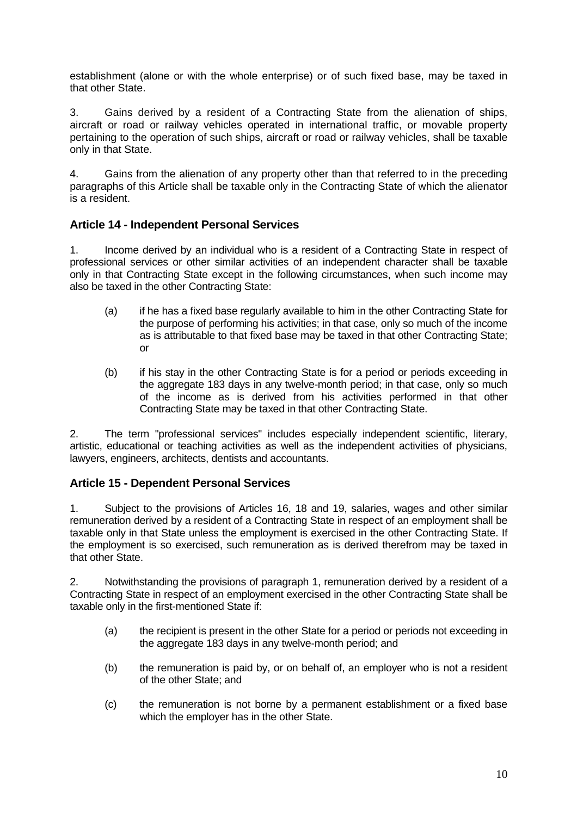establishment (alone or with the whole enterprise) or of such fixed base, may be taxed in that other State.

3. Gains derived by a resident of a Contracting State from the alienation of ships, aircraft or road or railway vehicles operated in international traffic, or movable property pertaining to the operation of such ships, aircraft or road or railway vehicles, shall be taxable only in that State.

4. Gains from the alienation of any property other than that referred to in the preceding paragraphs of this Article shall be taxable only in the Contracting State of which the alienator is a resident.

## **Article 14 - Independent Personal Services**

1. Income derived by an individual who is a resident of a Contracting State in respect of professional services or other similar activities of an independent character shall be taxable only in that Contracting State except in the following circumstances, when such income may also be taxed in the other Contracting State:

- (a) if he has a fixed base regularly available to him in the other Contracting State for the purpose of performing his activities; in that case, only so much of the income as is attributable to that fixed base may be taxed in that other Contracting State; or
- (b) if his stay in the other Contracting State is for a period or periods exceeding in the aggregate 183 days in any twelve-month period; in that case, only so much of the income as is derived from his activities performed in that other Contracting State may be taxed in that other Contracting State.

2. The term "professional services" includes especially independent scientific, literary, artistic, educational or teaching activities as well as the independent activities of physicians, lawyers, engineers, architects, dentists and accountants.

## **Article 15 - Dependent Personal Services**

1. Subject to the provisions of Articles 16, 18 and 19, salaries, wages and other similar remuneration derived by a resident of a Contracting State in respect of an employment shall be taxable only in that State unless the employment is exercised in the other Contracting State. If the employment is so exercised, such remuneration as is derived therefrom may be taxed in that other State.

2. Notwithstanding the provisions of paragraph 1, remuneration derived by a resident of a Contracting State in respect of an employment exercised in the other Contracting State shall be taxable only in the first-mentioned State if:

- (a) the recipient is present in the other State for a period or periods not exceeding in the aggregate 183 days in any twelve-month period; and
- (b) the remuneration is paid by, or on behalf of, an employer who is not a resident of the other State; and
- (c) the remuneration is not borne by a permanent establishment or a fixed base which the employer has in the other State.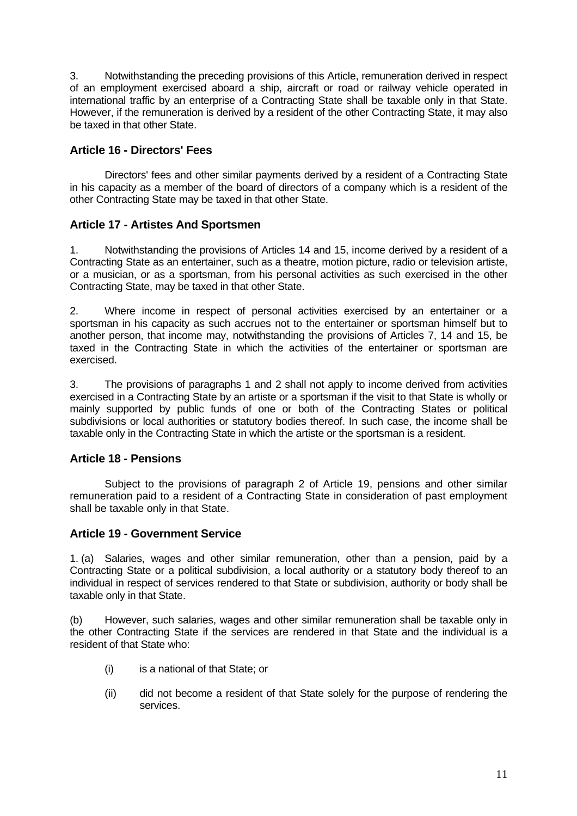3. Notwithstanding the preceding provisions of this Article, remuneration derived in respect of an employment exercised aboard a ship, aircraft or road or railway vehicle operated in international traffic by an enterprise of a Contracting State shall be taxable only in that State. However, if the remuneration is derived by a resident of the other Contracting State, it may also be taxed in that other State.

## **Article 16 - Directors' Fees**

 Directors' fees and other similar payments derived by a resident of a Contracting State in his capacity as a member of the board of directors of a company which is a resident of the other Contracting State may be taxed in that other State.

## **Article 17 - Artistes And Sportsmen**

1. Notwithstanding the provisions of Articles 14 and 15, income derived by a resident of a Contracting State as an entertainer, such as a theatre, motion picture, radio or television artiste, or a musician, or as a sportsman, from his personal activities as such exercised in the other Contracting State, may be taxed in that other State.

2. Where income in respect of personal activities exercised by an entertainer or a sportsman in his capacity as such accrues not to the entertainer or sportsman himself but to another person, that income may, notwithstanding the provisions of Articles 7, 14 and 15, be taxed in the Contracting State in which the activities of the entertainer or sportsman are exercised.

3. The provisions of paragraphs 1 and 2 shall not apply to income derived from activities exercised in a Contracting State by an artiste or a sportsman if the visit to that State is wholly or mainly supported by public funds of one or both of the Contracting States or political subdivisions or local authorities or statutory bodies thereof. In such case, the income shall be taxable only in the Contracting State in which the artiste or the sportsman is a resident.

## **Article 18 - Pensions**

Subject to the provisions of paragraph 2 of Article 19, pensions and other similar remuneration paid to a resident of a Contracting State in consideration of past employment shall be taxable only in that State.

## **Article 19 - Government Service**

1. (a) Salaries, wages and other similar remuneration, other than a pension, paid by a Contracting State or a political subdivision, a local authority or a statutory body thereof to an individual in respect of services rendered to that State or subdivision, authority or body shall be taxable only in that State.

(b) However, such salaries, wages and other similar remuneration shall be taxable only in the other Contracting State if the services are rendered in that State and the individual is a resident of that State who:

- (i) is a national of that State; or
- (ii) did not become a resident of that State solely for the purpose of rendering the services.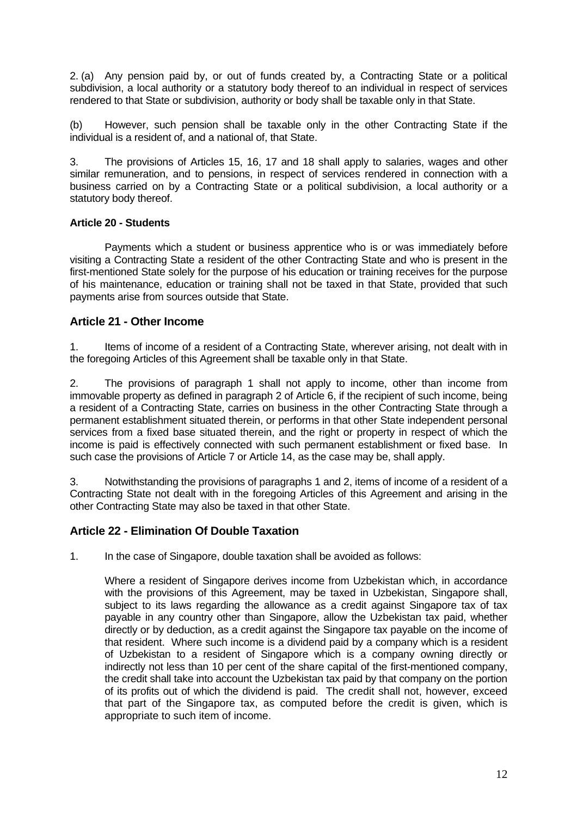2. (a) Any pension paid by, or out of funds created by, a Contracting State or a political subdivision, a local authority or a statutory body thereof to an individual in respect of services rendered to that State or subdivision, authority or body shall be taxable only in that State.

(b) However, such pension shall be taxable only in the other Contracting State if the individual is a resident of, and a national of, that State.

3. The provisions of Articles 15, 16, 17 and 18 shall apply to salaries, wages and other similar remuneration, and to pensions, in respect of services rendered in connection with a business carried on by a Contracting State or a political subdivision, a local authority or a statutory body thereof.

#### **Article 20 - Students**

 Payments which a student or business apprentice who is or was immediately before visiting a Contracting State a resident of the other Contracting State and who is present in the first-mentioned State solely for the purpose of his education or training receives for the purpose of his maintenance, education or training shall not be taxed in that State, provided that such payments arise from sources outside that State.

## **Article 21 - Other Income**

1. Items of income of a resident of a Contracting State, wherever arising, not dealt with in the foregoing Articles of this Agreement shall be taxable only in that State.

2. The provisions of paragraph 1 shall not apply to income, other than income from immovable property as defined in paragraph 2 of Article 6, if the recipient of such income, being a resident of a Contracting State, carries on business in the other Contracting State through a permanent establishment situated therein, or performs in that other State independent personal services from a fixed base situated therein, and the right or property in respect of which the income is paid is effectively connected with such permanent establishment or fixed base. In such case the provisions of Article 7 or Article 14, as the case may be, shall apply.

3. Notwithstanding the provisions of paragraphs 1 and 2, items of income of a resident of a Contracting State not dealt with in the foregoing Articles of this Agreement and arising in the other Contracting State may also be taxed in that other State.

## **Article 22 - Elimination Of Double Taxation**

1. In the case of Singapore, double taxation shall be avoided as follows:

Where a resident of Singapore derives income from Uzbekistan which, in accordance with the provisions of this Agreement, may be taxed in Uzbekistan, Singapore shall, subject to its laws regarding the allowance as a credit against Singapore tax of tax payable in any country other than Singapore, allow the Uzbekistan tax paid, whether directly or by deduction, as a credit against the Singapore tax payable on the income of that resident. Where such income is a dividend paid by a company which is a resident of Uzbekistan to a resident of Singapore which is a company owning directly or indirectly not less than 10 per cent of the share capital of the first-mentioned company, the credit shall take into account the Uzbekistan tax paid by that company on the portion of its profits out of which the dividend is paid. The credit shall not, however, exceed that part of the Singapore tax, as computed before the credit is given, which is appropriate to such item of income.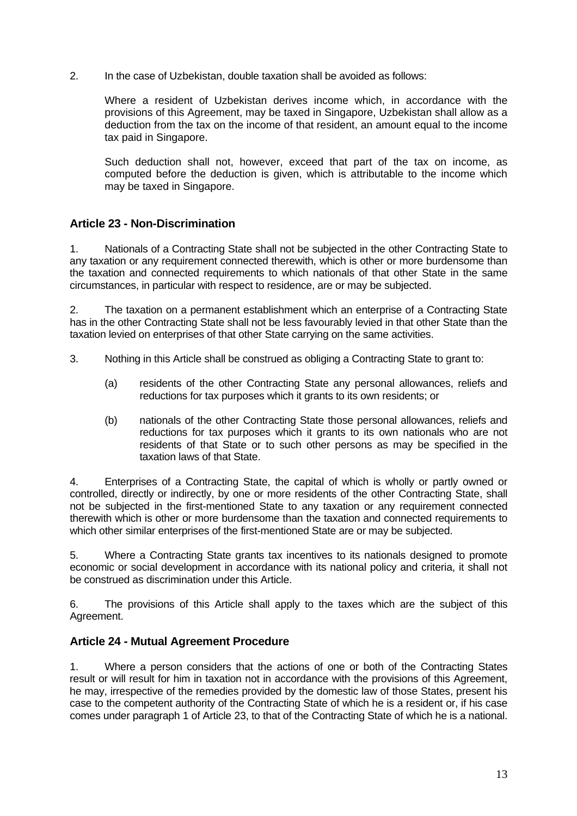2. In the case of Uzbekistan, double taxation shall be avoided as follows:

Where a resident of Uzbekistan derives income which, in accordance with the provisions of this Agreement, may be taxed in Singapore, Uzbekistan shall allow as a deduction from the tax on the income of that resident, an amount equal to the income tax paid in Singapore.

Such deduction shall not, however, exceed that part of the tax on income, as computed before the deduction is given, which is attributable to the income which may be taxed in Singapore.

## **Article 23 - Non-Discrimination**

1. Nationals of a Contracting State shall not be subjected in the other Contracting State to any taxation or any requirement connected therewith, which is other or more burdensome than the taxation and connected requirements to which nationals of that other State in the same circumstances, in particular with respect to residence, are or may be subjected.

2. The taxation on a permanent establishment which an enterprise of a Contracting State has in the other Contracting State shall not be less favourably levied in that other State than the taxation levied on enterprises of that other State carrying on the same activities.

- 3. Nothing in this Article shall be construed as obliging a Contracting State to grant to:
	- (a) residents of the other Contracting State any personal allowances, reliefs and reductions for tax purposes which it grants to its own residents; or
	- (b) nationals of the other Contracting State those personal allowances, reliefs and reductions for tax purposes which it grants to its own nationals who are not residents of that State or to such other persons as may be specified in the taxation laws of that State.

4. Enterprises of a Contracting State, the capital of which is wholly or partly owned or controlled, directly or indirectly, by one or more residents of the other Contracting State, shall not be subjected in the first-mentioned State to any taxation or any requirement connected therewith which is other or more burdensome than the taxation and connected requirements to which other similar enterprises of the first-mentioned State are or may be subjected.

5. Where a Contracting State grants tax incentives to its nationals designed to promote economic or social development in accordance with its national policy and criteria, it shall not be construed as discrimination under this Article.

6. The provisions of this Article shall apply to the taxes which are the subject of this Agreement.

## **Article 24 - Mutual Agreement Procedure**

1. Where a person considers that the actions of one or both of the Contracting States result or will result for him in taxation not in accordance with the provisions of this Agreement, he may, irrespective of the remedies provided by the domestic law of those States, present his case to the competent authority of the Contracting State of which he is a resident or, if his case comes under paragraph 1 of Article 23, to that of the Contracting State of which he is a national.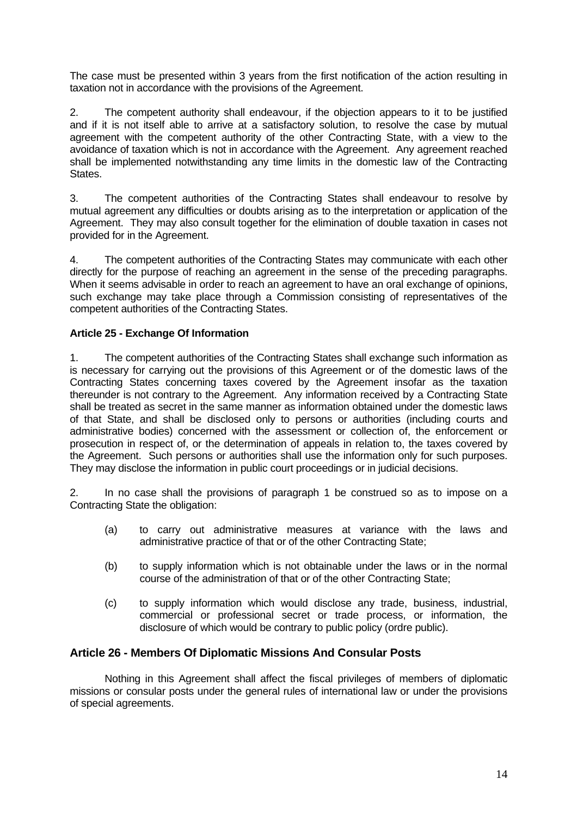The case must be presented within 3 years from the first notification of the action resulting in taxation not in accordance with the provisions of the Agreement.

2. The competent authority shall endeavour, if the objection appears to it to be justified and if it is not itself able to arrive at a satisfactory solution, to resolve the case by mutual agreement with the competent authority of the other Contracting State, with a view to the avoidance of taxation which is not in accordance with the Agreement. Any agreement reached shall be implemented notwithstanding any time limits in the domestic law of the Contracting States.

3. The competent authorities of the Contracting States shall endeavour to resolve by mutual agreement any difficulties or doubts arising as to the interpretation or application of the Agreement. They may also consult together for the elimination of double taxation in cases not provided for in the Agreement.

4. The competent authorities of the Contracting States may communicate with each other directly for the purpose of reaching an agreement in the sense of the preceding paragraphs. When it seems advisable in order to reach an agreement to have an oral exchange of opinions, such exchange may take place through a Commission consisting of representatives of the competent authorities of the Contracting States.

## **Article 25 - Exchange Of Information**

1. The competent authorities of the Contracting States shall exchange such information as is necessary for carrying out the provisions of this Agreement or of the domestic laws of the Contracting States concerning taxes covered by the Agreement insofar as the taxation thereunder is not contrary to the Agreement. Any information received by a Contracting State shall be treated as secret in the same manner as information obtained under the domestic laws of that State, and shall be disclosed only to persons or authorities (including courts and administrative bodies) concerned with the assessment or collection of, the enforcement or prosecution in respect of, or the determination of appeals in relation to, the taxes covered by the Agreement. Such persons or authorities shall use the information only for such purposes. They may disclose the information in public court proceedings or in judicial decisions.

2. In no case shall the provisions of paragraph 1 be construed so as to impose on a Contracting State the obligation:

- (a) to carry out administrative measures at variance with the laws and administrative practice of that or of the other Contracting State;
- (b) to supply information which is not obtainable under the laws or in the normal course of the administration of that or of the other Contracting State;
- (c) to supply information which would disclose any trade, business, industrial, commercial or professional secret or trade process, or information, the disclosure of which would be contrary to public policy (ordre public).

#### **Article 26 - Members Of Diplomatic Missions And Consular Posts**

Nothing in this Agreement shall affect the fiscal privileges of members of diplomatic missions or consular posts under the general rules of international law or under the provisions of special agreements.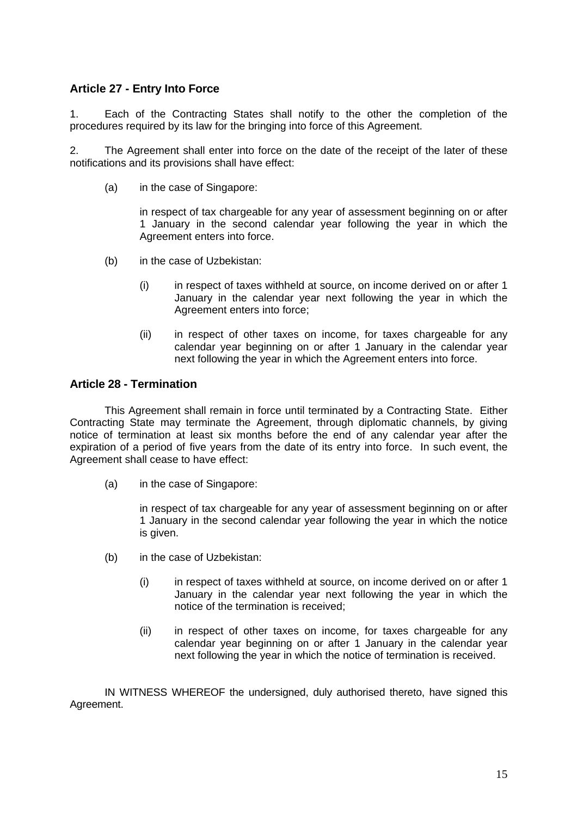## **Article 27 - Entry Into Force**

1. Each of the Contracting States shall notify to the other the completion of the procedures required by its law for the bringing into force of this Agreement.

2. The Agreement shall enter into force on the date of the receipt of the later of these notifications and its provisions shall have effect:

(a) in the case of Singapore:

in respect of tax chargeable for any year of assessment beginning on or after 1 January in the second calendar year following the year in which the Agreement enters into force.

- (b) in the case of Uzbekistan:
	- (i) in respect of taxes withheld at source, on income derived on or after 1 January in the calendar year next following the year in which the Agreement enters into force;
	- (ii) in respect of other taxes on income, for taxes chargeable for any calendar year beginning on or after 1 January in the calendar year next following the year in which the Agreement enters into force.

#### **Article 28 - Termination**

This Agreement shall remain in force until terminated by a Contracting State. Either Contracting State may terminate the Agreement, through diplomatic channels, by giving notice of termination at least six months before the end of any calendar year after the expiration of a period of five years from the date of its entry into force. In such event, the Agreement shall cease to have effect:

(a) in the case of Singapore:

in respect of tax chargeable for any year of assessment beginning on or after 1 January in the second calendar year following the year in which the notice is given.

- (b) in the case of Uzbekistan:
	- (i) in respect of taxes withheld at source, on income derived on or after 1 January in the calendar year next following the year in which the notice of the termination is received;
	- (ii) in respect of other taxes on income, for taxes chargeable for any calendar year beginning on or after 1 January in the calendar year next following the year in which the notice of termination is received.

 IN WITNESS WHEREOF the undersigned, duly authorised thereto, have signed this Agreement.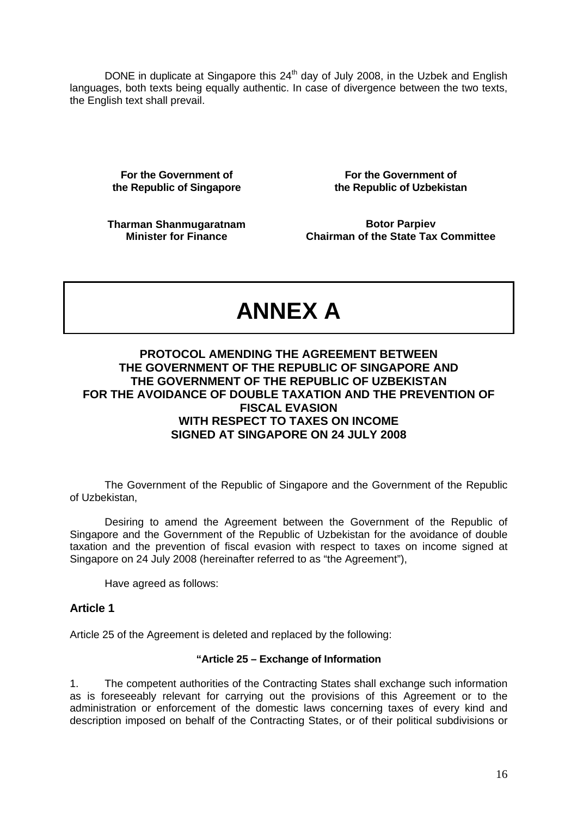DONE in duplicate at Singapore this 24<sup>th</sup> day of July 2008, in the Uzbek and English languages, both texts being equally authentic. In case of divergence between the two texts, the English text shall prevail.

**For the Government of the Republic of Singapore** 

**For the Government of the Republic of Uzbekistan** 

**Tharman Shanmugaratnam Minister for Finance** 

**Botor Parpiev Chairman of the State Tax Committee** 

# **ANNEX A**

## **PROTOCOL AMENDING THE AGREEMENT BETWEEN THE GOVERNMENT OF THE REPUBLIC OF SINGAPORE AND THE GOVERNMENT OF THE REPUBLIC OF UZBEKISTAN FOR THE AVOIDANCE OF DOUBLE TAXATION AND THE PREVENTION OF FISCAL EVASION WITH RESPECT TO TAXES ON INCOME SIGNED AT SINGAPORE ON 24 JULY 2008**

The Government of the Republic of Singapore and the Government of the Republic of Uzbekistan,

Desiring to amend the Agreement between the Government of the Republic of Singapore and the Government of the Republic of Uzbekistan for the avoidance of double taxation and the prevention of fiscal evasion with respect to taxes on income signed at Singapore on 24 July 2008 (hereinafter referred to as "the Agreement"),

Have agreed as follows:

#### **Article 1**

Article 25 of the Agreement is deleted and replaced by the following:

#### **"Article 25 – Exchange of Information**

1. The competent authorities of the Contracting States shall exchange such information as is foreseeably relevant for carrying out the provisions of this Agreement or to the administration or enforcement of the domestic laws concerning taxes of every kind and description imposed on behalf of the Contracting States, or of their political subdivisions or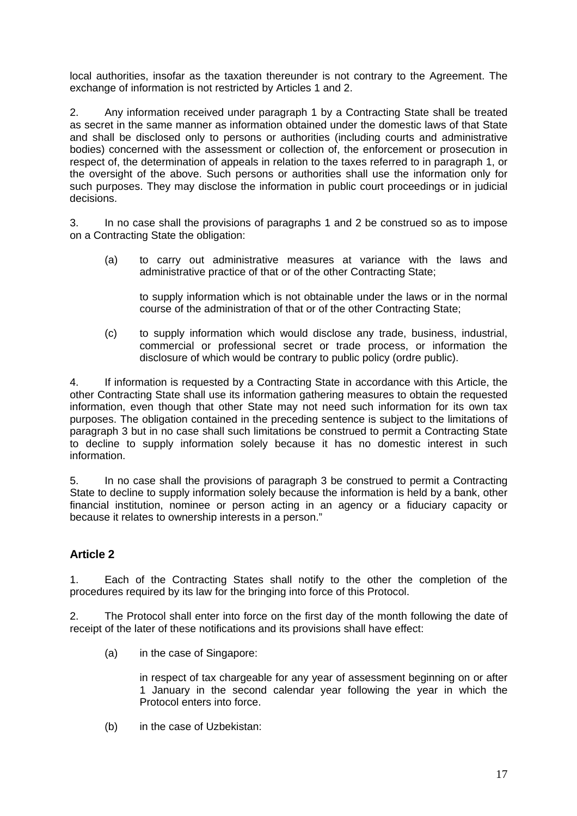local authorities, insofar as the taxation thereunder is not contrary to the Agreement. The exchange of information is not restricted by Articles 1 and 2.

2. Any information received under paragraph 1 by a Contracting State shall be treated as secret in the same manner as information obtained under the domestic laws of that State and shall be disclosed only to persons or authorities (including courts and administrative bodies) concerned with the assessment or collection of, the enforcement or prosecution in respect of, the determination of appeals in relation to the taxes referred to in paragraph 1, or the oversight of the above. Such persons or authorities shall use the information only for such purposes. They may disclose the information in public court proceedings or in judicial decisions.

3. In no case shall the provisions of paragraphs 1 and 2 be construed so as to impose on a Contracting State the obligation:

(a) to carry out administrative measures at variance with the laws and administrative practice of that or of the other Contracting State;

to supply information which is not obtainable under the laws or in the normal course of the administration of that or of the other Contracting State;

(c) to supply information which would disclose any trade, business, industrial, commercial or professional secret or trade process, or information the disclosure of which would be contrary to public policy (ordre public).

4. If information is requested by a Contracting State in accordance with this Article, the other Contracting State shall use its information gathering measures to obtain the requested information, even though that other State may not need such information for its own tax purposes. The obligation contained in the preceding sentence is subject to the limitations of paragraph 3 but in no case shall such limitations be construed to permit a Contracting State to decline to supply information solely because it has no domestic interest in such information.

5. In no case shall the provisions of paragraph 3 be construed to permit a Contracting State to decline to supply information solely because the information is held by a bank, other financial institution, nominee or person acting in an agency or a fiduciary capacity or because it relates to ownership interests in a person."

## **Article 2**

1. Each of the Contracting States shall notify to the other the completion of the procedures required by its law for the bringing into force of this Protocol.

2. The Protocol shall enter into force on the first day of the month following the date of receipt of the later of these notifications and its provisions shall have effect:

(a) in the case of Singapore:

in respect of tax chargeable for any year of assessment beginning on or after 1 January in the second calendar year following the year in which the Protocol enters into force.

(b) in the case of Uzbekistan: